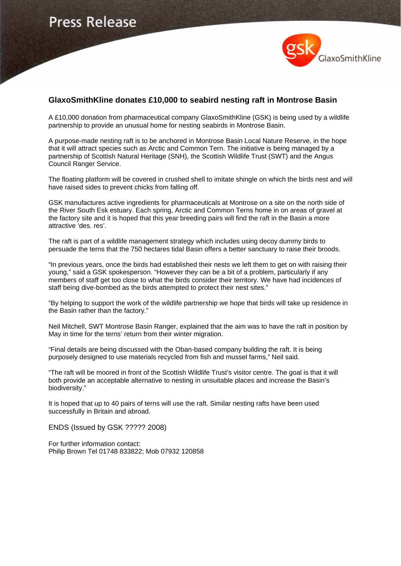

## **GlaxoSmithKline donates £10,000 to seabird nesting raft in Montrose Basin**

A £10,000 donation from pharmaceutical company GlaxoSmithKline (GSK) is being used by a wildlife partnership to provide an unusual home for nesting seabirds in Montrose Basin.

A purpose-made nesting raft is to be anchored in Montrose Basin Local Nature Reserve, in the hope that it will attract species such as Arctic and Common Tern. The initiative is being managed by a partnership of Scottish Natural Heritage (SNH), the Scottish Wildlife Trust (SWT) and the Angus Council Ranger Service.

The floating platform will be covered in crushed shell to imitate shingle on which the birds nest and will have raised sides to prevent chicks from falling off.

GSK manufactures active ingredients for pharmaceuticals at Montrose on a site on the north side of the River South Esk estuary. Each spring, Arctic and Common Terns home in on areas of gravel at the factory site and it is hoped that this year breeding pairs will find the raft in the Basin a more attractive 'des. res'.

The raft is part of a wildlife management strategy which includes using decoy dummy birds to persuade the terns that the 750 hectares tidal Basin offers a better sanctuary to raise their broods.

"In previous years, once the birds had established their nests we left them to get on with raising their young," said a GSK spokesperson. "However they can be a bit of a problem, particularly if any members of staff get too close to what the birds consider their territory. We have had incidences of staff being dive-bombed as the birds attempted to protect their nest sites."

"By helping to support the work of the wildlife partnership we hope that birds will take up residence in the Basin rather than the factory."

Neil Mitchell, SWT Montrose Basin Ranger, explained that the aim was to have the raft in position by May in time for the terns' return from their winter migration.

"Final details are being discussed with the Oban-based company building the raft. It is being purposely designed to use materials recycled from fish and mussel farms," Neil said.

"The raft will be moored in front of the Scottish Wildlife Trust's visitor centre. The goal is that it will both provide an acceptable alternative to nesting in unsuitable places and increase the Basin's biodiversity."

It is hoped that up to 40 pairs of terns will use the raft. Similar nesting rafts have been used successfully in Britain and abroad.

ENDS (Issued by GSK ????? 2008)

For further information contact: Philip Brown Tel 01748 833822; Mob 07932 120858